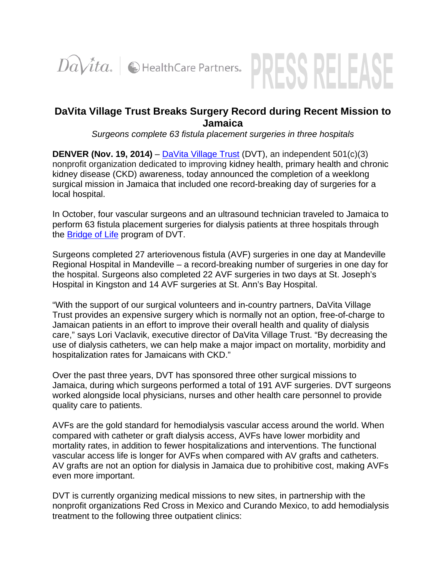



## **DaVita Village Trust Breaks Surgery Record during Recent Mission to Jamaica**

*Surgeons complete 63 fistula placement surgeries in three hospitals* 

**DENVER (Nov. 19, 2014)** – DaVita Village Trust (DVT), an independent 501(c)(3) nonprofit organization dedicated to improving kidney health, primary health and chronic kidney disease (CKD) awareness, today announced the completion of a weeklong surgical mission in Jamaica that included one record-breaking day of surgeries for a local hospital.

In October, four vascular surgeons and an ultrasound technician traveled to Jamaica to perform 63 fistula placement surgeries for dialysis patients at three hospitals through the Bridge of Life program of DVT.

Surgeons completed 27 arteriovenous fistula (AVF) surgeries in one day at Mandeville Regional Hospital in Mandeville – a record-breaking number of surgeries in one day for the hospital. Surgeons also completed 22 AVF surgeries in two days at St. Joseph's Hospital in Kingston and 14 AVF surgeries at St. Ann's Bay Hospital.

"With the support of our surgical volunteers and in-country partners, DaVita Village Trust provides an expensive surgery which is normally not an option, free-of-charge to Jamaican patients in an effort to improve their overall health and quality of dialysis care," says Lori Vaclavik, executive director of DaVita Village Trust. "By decreasing the use of dialysis catheters, we can help make a major impact on mortality, morbidity and hospitalization rates for Jamaicans with CKD."

Over the past three years, DVT has sponsored three other surgical missions to Jamaica, during which surgeons performed a total of 191 AVF surgeries. DVT surgeons worked alongside local physicians, nurses and other health care personnel to provide quality care to patients.

AVFs are the gold standard for hemodialysis vascular access around the world. When compared with catheter or graft dialysis access, AVFs have lower morbidity and mortality rates, in addition to fewer hospitalizations and interventions. The functional vascular access life is longer for AVFs when compared with AV grafts and catheters. AV grafts are not an option for dialysis in Jamaica due to prohibitive cost, making AVFs even more important.

DVT is currently organizing medical missions to new sites, in partnership with the nonprofit organizations Red Cross in Mexico and Curando Mexico, to add hemodialysis treatment to the following three outpatient clinics: